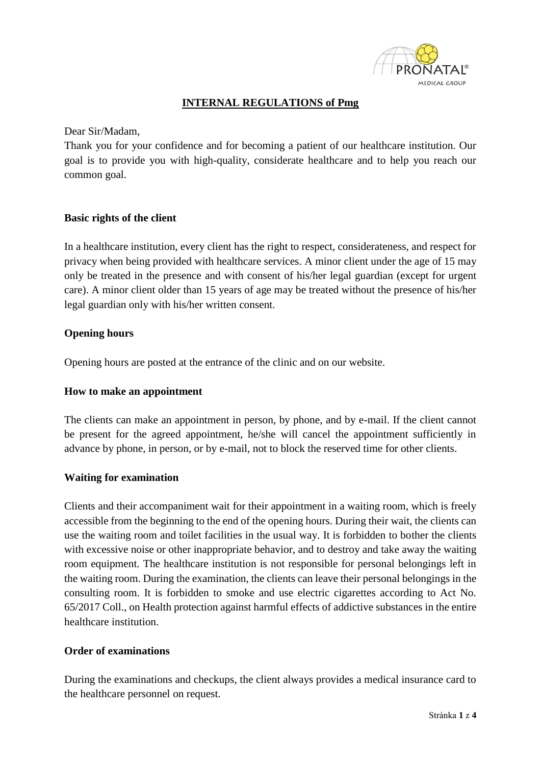

# **INTERNAL REGULATIONS of Pmg**

Dear Sir/Madam,

Thank you for your confidence and for becoming a patient of our healthcare institution. Our goal is to provide you with high-quality, considerate healthcare and to help you reach our common goal.

### **Basic rights of the client**

In a healthcare institution, every client has the right to respect, considerateness, and respect for privacy when being provided with healthcare services. A minor client under the age of 15 may only be treated in the presence and with consent of his/her legal guardian (except for urgent care). A minor client older than 15 years of age may be treated without the presence of his/her legal guardian only with his/her written consent.

# **Opening hours**

Opening hours are posted at the entrance of the clinic and on our website.

#### **How to make an appointment**

The clients can make an appointment in person, by phone, and by e-mail. If the client cannot be present for the agreed appointment, he/she will cancel the appointment sufficiently in advance by phone, in person, or by e-mail, not to block the reserved time for other clients.

# **Waiting for examination**

Clients and their accompaniment wait for their appointment in a waiting room, which is freely accessible from the beginning to the end of the opening hours. During their wait, the clients can use the waiting room and toilet facilities in the usual way. It is forbidden to bother the clients with excessive noise or other inappropriate behavior, and to destroy and take away the waiting room equipment. The healthcare institution is not responsible for personal belongings left in the waiting room. During the examination, the clients can leave their personal belongings in the consulting room. It is forbidden to smoke and use electric cigarettes according to Act No. 65/2017 Coll., on Health protection against harmful effects of addictive substances in the entire healthcare institution.

#### **Order of examinations**

During the examinations and checkups, the client always provides a medical insurance card to the healthcare personnel on request.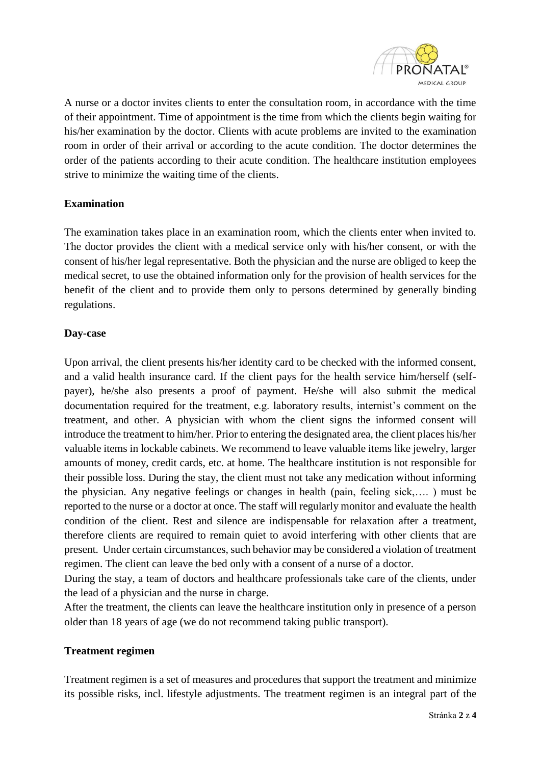

A nurse or a doctor invites clients to enter the consultation room, in accordance with the time of their appointment. Time of appointment is the time from which the clients begin waiting for his/her examination by the doctor. Clients with acute problems are invited to the examination room in order of their arrival or according to the acute condition. The doctor determines the order of the patients according to their acute condition. The healthcare institution employees strive to minimize the waiting time of the clients.

### **Examination**

The examination takes place in an examination room, which the clients enter when invited to. The doctor provides the client with a medical service only with his/her consent, or with the consent of his/her legal representative. Both the physician and the nurse are obliged to keep the medical secret, to use the obtained information only for the provision of health services for the benefit of the client and to provide them only to persons determined by generally binding regulations.

# **Day-case**

Upon arrival, the client presents his/her identity card to be checked with the informed consent, and a valid health insurance card. If the client pays for the health service him/herself (selfpayer), he/she also presents a proof of payment. He/she will also submit the medical documentation required for the treatment, e.g. laboratory results, internist's comment on the treatment, and other. A physician with whom the client signs the informed consent will introduce the treatment to him/her. Prior to entering the designated area, the client places his/her valuable items in lockable cabinets. We recommend to leave valuable items like jewelry, larger amounts of money, credit cards, etc. at home. The healthcare institution is not responsible for their possible loss. During the stay, the client must not take any medication without informing the physician. Any negative feelings or changes in health (pain, feeling sick,…. ) must be reported to the nurse or a doctor at once. The staff will regularly monitor and evaluate the health condition of the client. Rest and silence are indispensable for relaxation after a treatment, therefore clients are required to remain quiet to avoid interfering with other clients that are present. Under certain circumstances, such behavior may be considered a violation of treatment regimen. The client can leave the bed only with a consent of a nurse of a doctor.

During the stay, a team of doctors and healthcare professionals take care of the clients, under the lead of a physician and the nurse in charge.

After the treatment, the clients can leave the healthcare institution only in presence of a person older than 18 years of age (we do not recommend taking public transport).

#### **Treatment regimen**

Treatment regimen is a set of measures and procedures that support the treatment and minimize its possible risks, incl. lifestyle adjustments. The treatment regimen is an integral part of the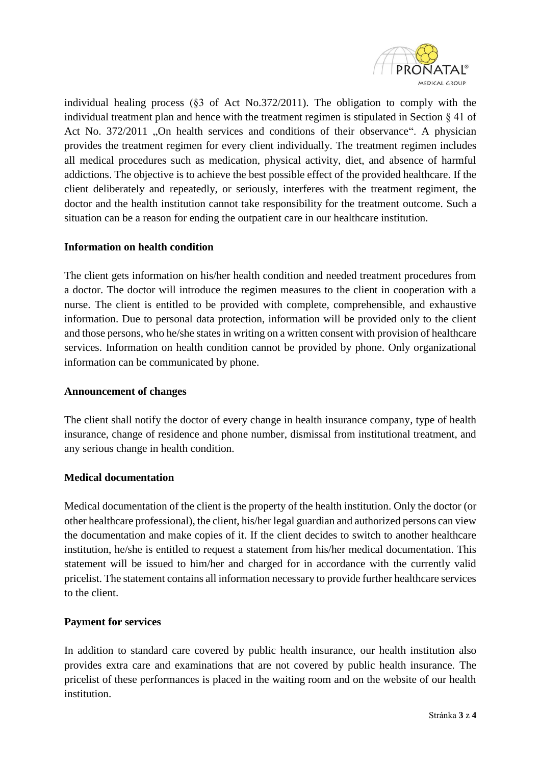

individual healing process (§3 of Act No.372/2011). The obligation to comply with the individual treatment plan and hence with the treatment regimen is stipulated in Section  $\S 41$  of Act No. 372/2011 "On health services and conditions of their observance". A physician provides the treatment regimen for every client individually. The treatment regimen includes all medical procedures such as medication, physical activity, diet, and absence of harmful addictions. The objective is to achieve the best possible effect of the provided healthcare. If the client deliberately and repeatedly, or seriously, interferes with the treatment regiment, the doctor and the health institution cannot take responsibility for the treatment outcome. Such a situation can be a reason for ending the outpatient care in our healthcare institution.

# **Information on health condition**

The client gets information on his/her health condition and needed treatment procedures from a doctor. The doctor will introduce the regimen measures to the client in cooperation with a nurse. The client is entitled to be provided with complete, comprehensible, and exhaustive information. Due to personal data protection, information will be provided only to the client and those persons, who he/she states in writing on a written consent with provision of healthcare services. Information on health condition cannot be provided by phone. Only organizational information can be communicated by phone.

#### **Announcement of changes**

The client shall notify the doctor of every change in health insurance company, type of health insurance, change of residence and phone number, dismissal from institutional treatment, and any serious change in health condition.

# **Medical documentation**

Medical documentation of the client is the property of the health institution. Only the doctor (or other healthcare professional), the client, his/her legal guardian and authorized persons can view the documentation and make copies of it. If the client decides to switch to another healthcare institution, he/she is entitled to request a statement from his/her medical documentation. This statement will be issued to him/her and charged for in accordance with the currently valid pricelist. The statement contains all information necessary to provide further healthcare services to the client.

# **Payment for services**

In addition to standard care covered by public health insurance, our health institution also provides extra care and examinations that are not covered by public health insurance. The pricelist of these performances is placed in the waiting room and on the website of our health institution.